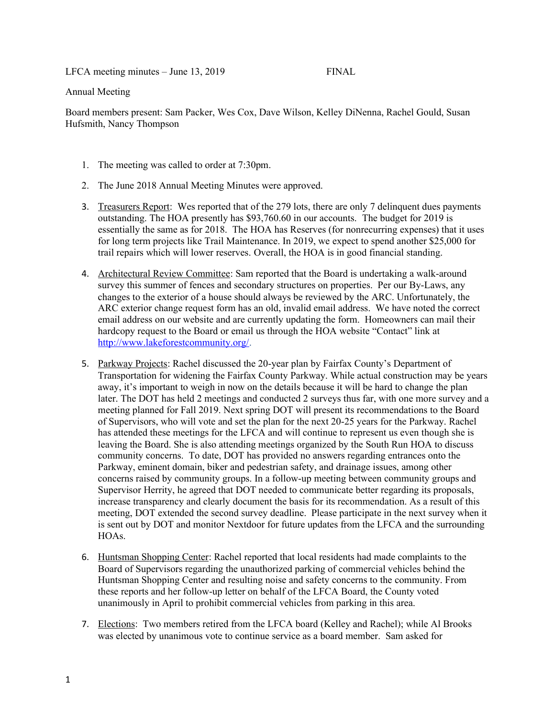LFCA meeting minutes – June 13, 2019 FINAL

## Annual Meeting

Board members present: Sam Packer, Wes Cox, Dave Wilson, Kelley DiNenna, Rachel Gould, Susan Hufsmith, Nancy Thompson

- 1. The meeting was called to order at 7:30pm.
- 2. The June 2018 Annual Meeting Minutes were approved.
- 3. Treasurers Report: Wes reported that of the 279 lots, there are only 7 delinquent dues payments outstanding. The HOA presently has \$93,760.60 in our accounts. The budget for 2019 is essentially the same as for 2018. The HOA has Reserves (for nonrecurring expenses) that it uses for long term projects like Trail Maintenance. In 2019, we expect to spend another \$25,000 for trail repairs which will lower reserves. Overall, the HOA is in good financial standing.
- 4. Architectural Review Committee: Sam reported that the Board is undertaking a walk-around survey this summer of fences and secondary structures on properties. Per our By-Laws, any changes to the exterior of a house should always be reviewed by the ARC. Unfortunately, the ARC exterior change request form has an old, invalid email address. We have noted the correct email address on our website and are currently updating the form. Homeowners can mail their hardcopy request to the Board or email us through the HOA website "Contact" link at [http://www.lakeforestcommunity.org/.](http://www.lakeforestcommunity.org/)
- 5. Parkway Projects: Rachel discussed the 20-year plan by Fairfax County's Department of Transportation for widening the Fairfax County Parkway. While actual construction may be years away, it's important to weigh in now on the details because it will be hard to change the plan later. The DOT has held 2 meetings and conducted 2 surveys thus far, with one more survey and a meeting planned for Fall 2019. Next spring DOT will present its recommendations to the Board of Supervisors, who will vote and set the plan for the next 20-25 years for the Parkway. Rachel has attended these meetings for the LFCA and will continue to represent us even though she is leaving the Board. She is also attending meetings organized by the South Run HOA to discuss community concerns. To date, DOT has provided no answers regarding entrances onto the Parkway, eminent domain, biker and pedestrian safety, and drainage issues, among other concerns raised by community groups. In a follow-up meeting between community groups and Supervisor Herrity, he agreed that DOT needed to communicate better regarding its proposals, increase transparency and clearly document the basis for its recommendation. As a result of this meeting, DOT extended the second survey deadline. Please participate in the next survey when it is sent out by DOT and monitor Nextdoor for future updates from the LFCA and the surrounding HOAs.
- 6. Huntsman Shopping Center: Rachel reported that local residents had made complaints to the Board of Supervisors regarding the unauthorized parking of commercial vehicles behind the Huntsman Shopping Center and resulting noise and safety concerns to the community. From these reports and her follow-up letter on behalf of the LFCA Board, the County voted unanimously in April to prohibit commercial vehicles from parking in this area.
- 7. Elections: Two members retired from the LFCA board (Kelley and Rachel); while Al Brooks was elected by unanimous vote to continue service as a board member. Sam asked for